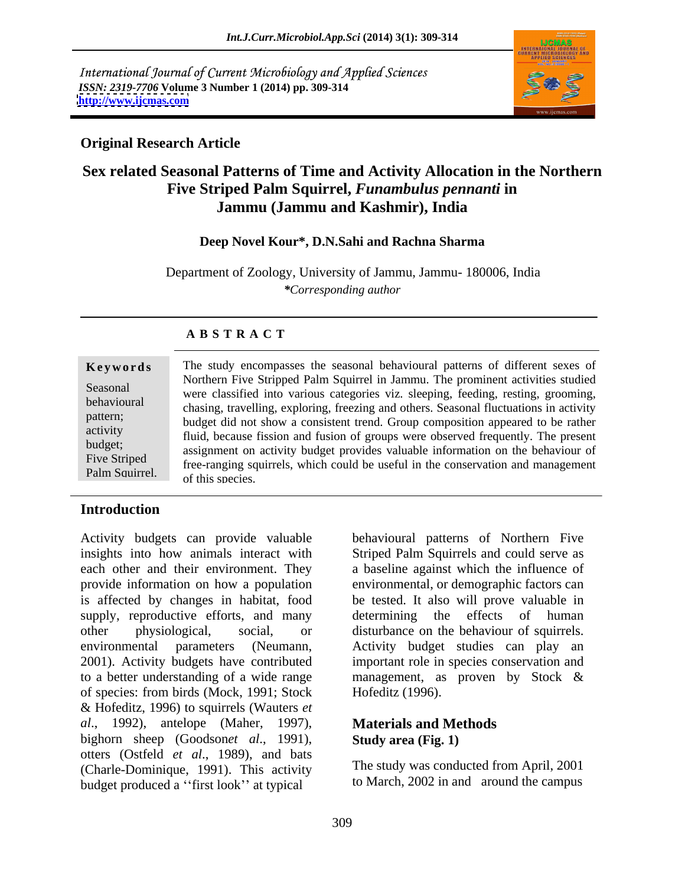International Journal of Current Microbiology and Applied Sciences *ISSN: 2319-7706* **Volume 3 Number 1 (2014) pp. 309-314 <http://www.ijcmas.com>**



## **Original Research Article**

# **Sex related Seasonal Patterns of Time and Activity Allocation in the Northern Five Striped Palm Squirrel,** *Funambulus pennanti* **in Jammu (Jammu and Kashmir), India**

### **Deep Novel Kour\*, D.N.Sahi and Rachna Sharma**

Department of Zoology, University of Jammu, Jammu- 180006, India *\*Corresponding author*

| Keywords       | The study encompasses the seasonal behavioural patterns of different sexes of          |
|----------------|----------------------------------------------------------------------------------------|
|                |                                                                                        |
| Seasonal       | Northern Five Stripped Palm Squirrel in Jammu. The prominent activities studied        |
|                | were classified into various categories viz. sleeping, feeding, resting, grooming,     |
| behavioural    | chasing, travelling, exploring, freezing and others. Seasonal fluctuations in activity |
| pattern;       |                                                                                        |
| activity       | budget did not show a consistent trend. Group composition appeared to be rather        |
|                | fluid, because fission and fusion of groups were observed frequently. The present      |
| budget;        | assignment on activity budget provides valuable information on the behaviour of        |
| Five Striped   |                                                                                        |
| Palm Squirrel. | free-ranging squirrels, which could be useful in the conservation and management       |
|                | of this species                                                                        |

### **A B S T R A C T**

## **Introduction**

Activity budgets can provide valuable insights into how animals interact with Striped Palm Squirrels and could serve as each other and their environment. They a baseline against which the influence of provide information on how a population environmental, or demographic factors can is affected by changes in habitat, food supply, reproductive efforts, and many determining the effects of human other physiological, social, or disturbance on the behaviour of squirrels. environmental parameters (Neumann, Activity budget studies can play an 2001). Activity budgets have contributed to a better understanding of a wide range management, as proven by Stock & of species: from birds (Mock, 1991; Stock & Hofeditz, 1996) to squirrels (Wauters *et al*., 1992), antelope (Maher, 1997), bighorn sheep (Goodson*et al*., 1991), otters (Ostfeld *et al*., 1989), and bats (Charle-Dominique, 1991). This activity budget produced a "first look" at typical

behavioural patterns of Northern Five be tested.It also will prove valuable in determining the effects of human important role in species conservation and Hofeditz (1996).

### **Materials and Methods Study area (Fig. 1)**

The study was conducted from April, 2001 to March, 2002 in and around the campus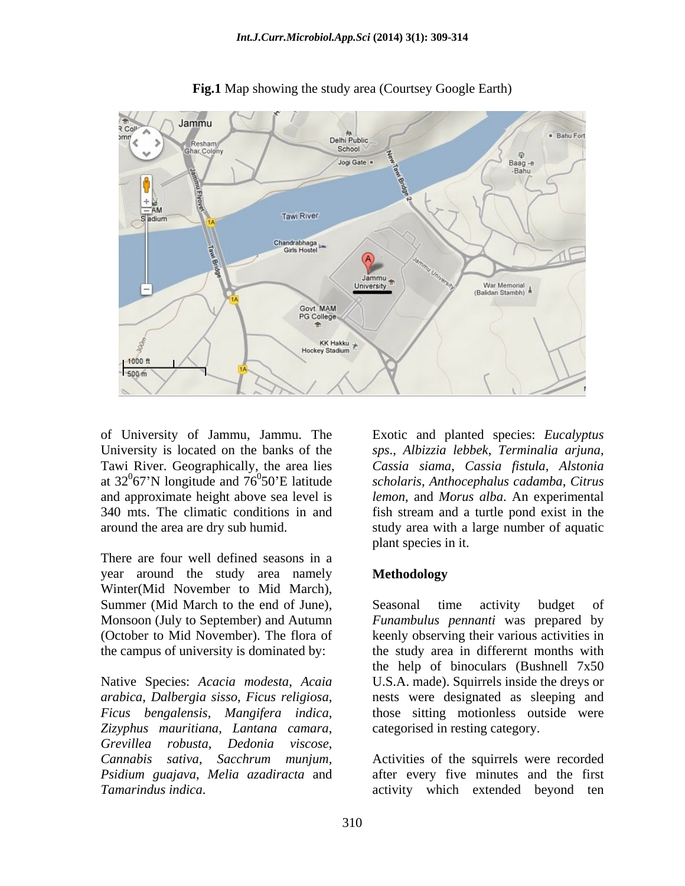

**Fig.1** Map showing the study area (Courtsey Google Earth)

of University of Jammu, Jammu. The Exotic and planted species: Eucalyptus Tawi River. Geographically, the area lies and approximate height above sea level is

There are four well defined seasons in a year around the study area namely Winter(Mid November to Mid March), Summer (Mid March to the end of June), Seasonal time activity budget of the campus of university is dominated by:

*Zizyphus mauritiana*, *Lantana camara*, *Grevillea robusta*, *Dedonia viscose*,

University is located on the banks of the *sps*., *Albizzia lebbek*, *Terminalia arjuna*, at 32 $\mathrm{^067}$ 'N longitude and  $76\mathrm{^050}$ 'E latitude scholaris, Anthocephalus cadamba, Citrus 67 N longitude and 76 0 50 E latitude *scholaris*, *Anthocephalus cadamba*, *Citrus*  340 mts. The climatic conditions in and fish stream and a turtle pond exist in the around the area are dry sub humid. study area with a large number of aquatic *Cassia siama*, *Cassia fistula*, *Alstonia lemon*, and *Morus alba*. An experimental plant species in it.

## **Methodology**

Monsoon (July to September) and Autumn *Funambulus pennanti* was prepared by (October to Mid November). The flora of keenly observing their various activities in Native Species: *Acacia modesta*, *Acaia*  U.S.A. made). Squirrels inside the dreys or *arabica*, *Dalbergia sisso*, *Ficus religiosa*, nests were designated as sleeping and *Ficus bengalensis*, *Mangifera indica*, those sitting motionless outside were of Juniversity of Jammu, Jimmu. The Exotic and planted species: *Eucalyptus*<br>
Inviversity is located on the banks of the sps. *Albizzia lebbek*, *Ferminalia argina*,<br>
Tawi River. Geographically, the area lies  $\cos A \sin \sin \alpha$ , Seasonal time activity budget of the study area in differernt months with the help of binoculars (Bushnell 7x50 categorised in resting category.

*Cannabis sativa*, *Sacchrum munjum*, Activities of the squirrels were recorded *Psidium guajava*, *Melia azadiracta* and after every five minutes and the first activity which extended beyond ten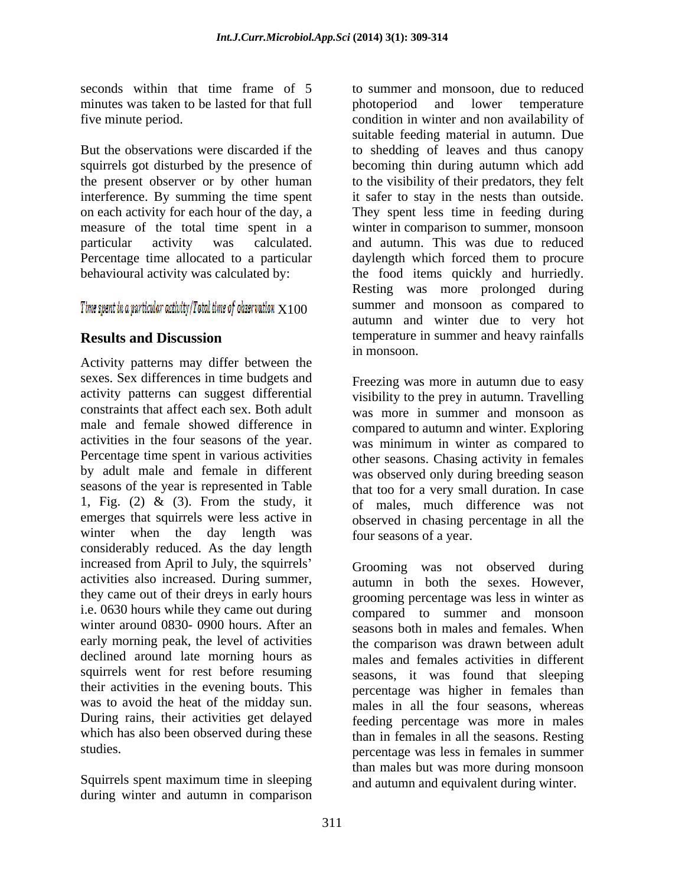minutes was taken to be lasted for that full by photoperiod and lower temperature

squirrels got disturbed by the presence of<br>the present observer or by other human

Activity patterns may differ between the sexes. Sex differences in time budgets and activity patterns can suggest differential constraints that affect each sex. Both adult was more in summer and monsoon as male and female showed difference in compared to autumn and winter. Exploring activities in the four seasons of the year. was minimum in winter as compared to Percentage time spent in various activities other seasons. Chasing activity in females by adult male and female in different was observed only during breeding season seasons of the year is represented in Table that too for a very small duration. In case 1, Fig. (2) & (3). From the study, it of males, much difference was not emerges that squirrels were less active in observed in chasing percentage in all the winter when the day length was considerably reduced. As the day length increased from April to July, the squirrels activities also increased. During summer, they came out of their dreys in early hours i.e. 0630 hours while they came out during winter around 0830- 0900 hours. After an early morning peak, the level of activities<br>declined around late morning hours as declined around late morning hours as males and females activities in different squirrels went for rest before resuming their activities in the evening bouts. This percentage was higher in females than was to avoid the heat of the midday sun. males in all the four seasons, whereas During rains, their activities get delayed which has also been observed during these

Squirrels spent maximum time in sleeping during winter and autumn in comparison

seconds within that time frame of 5 to summer and monsoon, due to reduced five minute period. condition in winter and non availability of But the observations were discarded if the to shedding of leaves and thus canopy the present observer or by other human to the visibility of their predators, they felt interference. By summing the time spent it safer to stay in the nests than outside. on each activity for each hour of the day, a They spent less time in feeding during measure of the total time spent in a winter in comparison to summer, monsoon particular activity was calculated. and autumn. This was due to reduced Percentage time allocated to a particular daylength which forced them to procure behavioural activity was calculated by: the food items quickly and hurriedly.  $X100$  summer and monsoon as compared to **Results and Discussion** temperature in summer and heavy rainfalls photoperiod and lower temperature suitable feeding material in autumn. Due becoming thin during autumn which add Resting was more prolonged during summer and monsoon as compared to autumn and winter due to very hot in monsoon.

> Freezing was more in autumn due to easy visibility to the prey in autumn. Travelling four seasons of a year.

studies. percentage was less in females in summer Grooming was not observed during autumn in both the sexes. However, grooming percentage was less in winter as compared to summer and monsoon seasons both in males and females. When the comparison was drawn between adult seasons, it was found that sleeping feeding percentage was more in males than in females in all the seasons. Resting than males but was more during monsoon and autumn and equivalent during winter.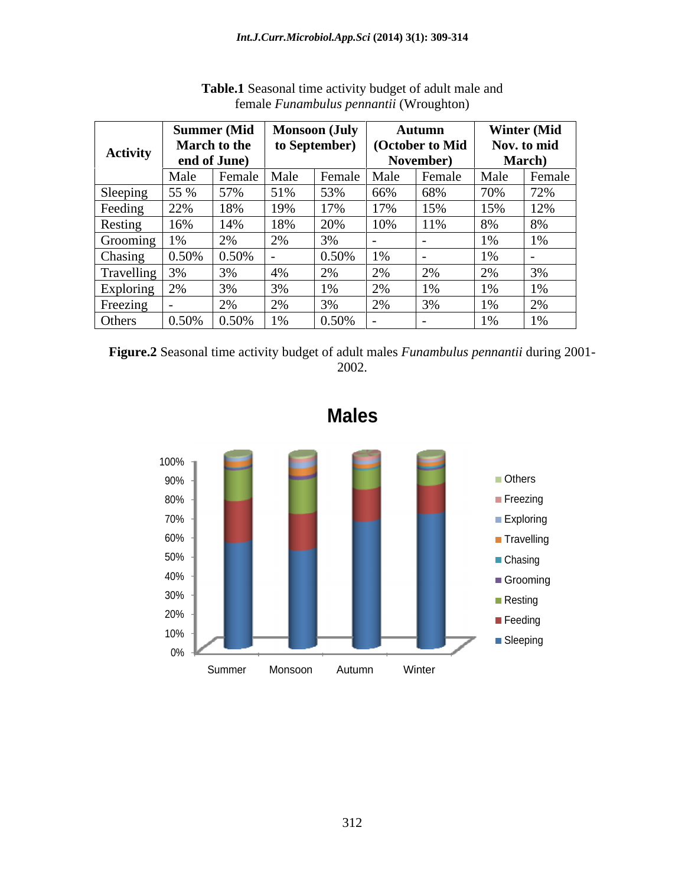|                 |       |                                             | Summer (Mid   Monsoon (July |          | <b>Autumn</b>     | <b>Winter (Mid</b>    |
|-----------------|-------|---------------------------------------------|-----------------------------|----------|-------------------|-----------------------|
| <b>Activity</b> |       | <b>March to the</b>                         | to September)               |          | (October to Mid   | Nov. to mid           |
|                 |       | end of June)                                |                             |          | <b>November</b> ) | March)                |
|                 | Male  | Female                                      | Male                        | ∣ Female | Male              | Male<br>Female        |
| Sleeping        |       |                                             |                             | $53\%$   | .66%<br>-68%      | $12\%$                |
| Feeding         |       | 18%                                         |                             |          | -15%              | 12%                   |
| Resting         | 16%   | 14%                                         | 18%                         | 20%      | 11%               | δ‰                    |
| Grooming        |       | $\Omega$                                    |                             |          |                   | $1\%$                 |
| Chasing         | 0.50% | $ 0.50\%$                                   |                             | 0.50%    |                   | 1%                    |
| Travelling      |       | 3%                                          |                             |          |                   | $\Omega$<br>3%        |
| Exploring       |       |                                             |                             |          | $1\%$             | 1%                    |
| Freezing        |       | $\mathcal{D}$<br>$\sim 70$                  |                             |          | .J 70             | 20 <sup>2</sup><br>1% |
| Others          |       | $\vert 0.50\% \vert 0.50\% \vert 1\% \vert$ |                             | $0.50\%$ |                   | $1\%$                 |

**Table.1** Seasonal time activity budget of adult male and female *Funambulus pennantii* (Wroughton)

**Figure.2** Seasonal time activity budget of adult males *Funambulus pennantii* during 2001-2002.



**Males**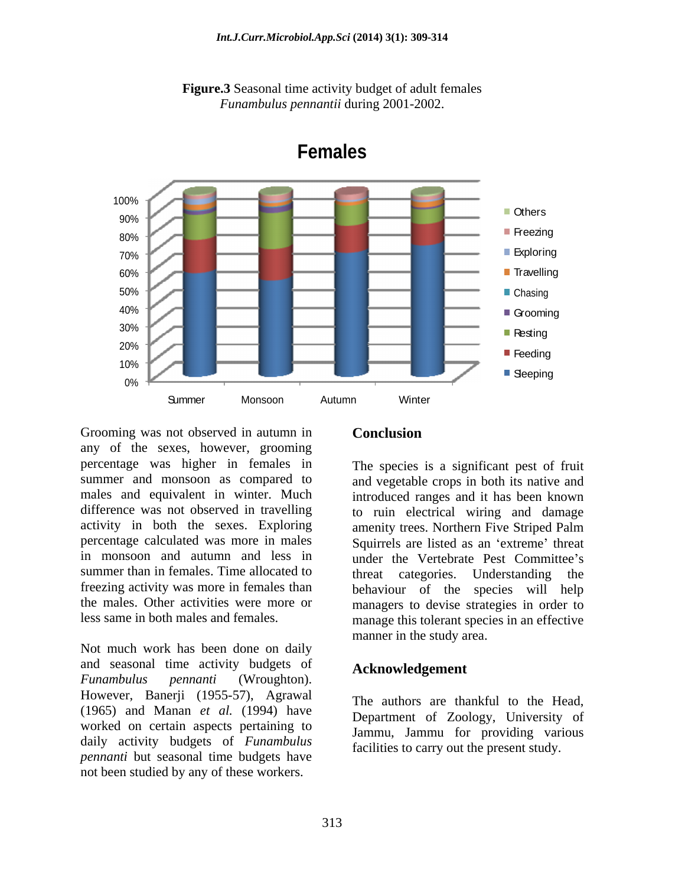



**Females**

Grooming was not observed in autumn in **Conclusion** any of the sexes, however, grooming percentage was higher in females in activity in both the sexes. Exploring amenity trees. Northern Five Striped Palm freezing activity was more in females than Groming was not observed in autumn in<br>
any of the sexes, however, groming<br>
percentage was higher in females in<br>
manner and monsoon as compared to and vegetable crops in both its native and<br>
summer and manage and equivalent

Not much work has been done on daily and seasonal time activity budgets of *Funambulus pennanti* (Wroughton). However, Banerji (1955-57), Agrawal (1965) and Manan *et al.* (1994) have worked on certain aspects pertaining to daily activity budgets of *Funambulus pennanti* but seasonal time budgets have

summer and monsoon as compared to and vegetable crops in both its native and males and equivalent in winter. Much introduced ranges and it has been known difference was not observed in travelling to ruin electrical wiring and damage percentage calculated was more in males Squirrels are listed as an 'extreme' threat in monsoon and autumn and less in under the Vertebrate Pest Committee's summer than in females. Time allocated to threat categories. Understanding the the males. Other activities were more or managers to devise strategies in order to less same in both males and females. manage this tolerant species in an effective The species is a significant pest of fruit amenity trees. Northern Five Striped Palm behaviour of the species will help manner in the study area.

### **Acknowledgement**

The authors are thankful to the Head, Department of Zoology, University of Jammu, Jammu for providing various facilities to carry out the present study.